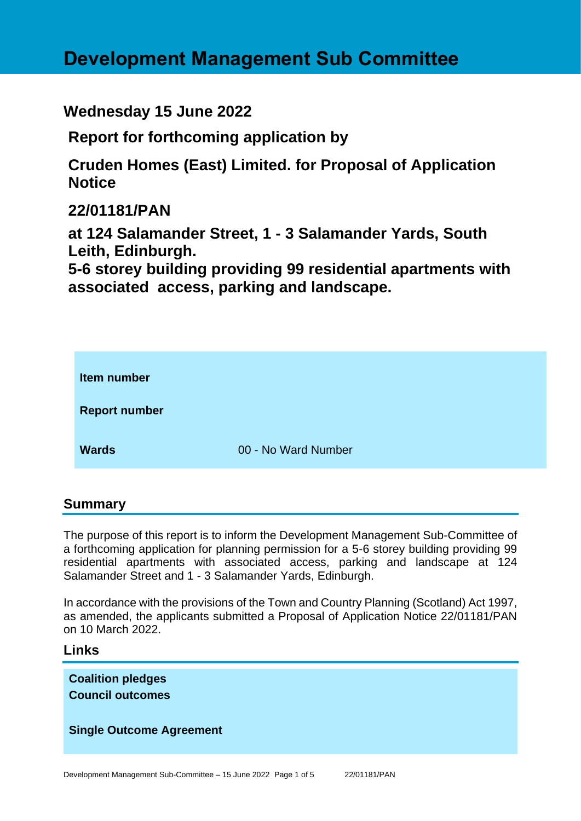# **Development Management Sub Committee**

**Wednesday 15 June 2022**

**Report for forthcoming application by**

**Cruden Homes (East) Limited. for Proposal of Application Notice** 

**22/01181/PAN**

**at 124 Salamander Street, 1 - 3 Salamander Yards, South Leith, Edinburgh.**

**5-6 storey building providing 99 residential apartments with associated access, parking and landscape.**



## **Summary**

The purpose of this report is to inform the Development Management Sub-Committee of a forthcoming application for planning permission for a 5-6 storey building providing 99 residential apartments with associated access, parking and landscape at 124 Salamander Street and 1 - 3 Salamander Yards, Edinburgh.

In accordance with the provisions of the Town and Country Planning (Scotland) Act 1997, as amended, the applicants submitted a Proposal of Application Notice 22/01181/PAN on 10 March 2022.

## **Links**

**Coalition pledges Council outcomes**

## **Single Outcome Agreement**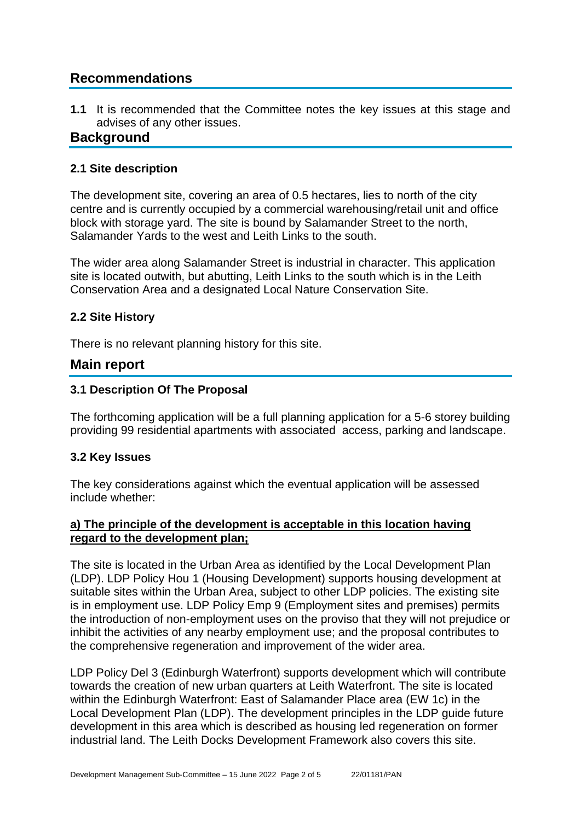## **Recommendations**

**1.1** It is recommended that the Committee notes the key issues at this stage and advises of any other issues.

## **Background**

#### **2.1 Site description**

The development site, covering an area of 0.5 hectares, lies to north of the city centre and is currently occupied by a commercial warehousing/retail unit and office block with storage yard. The site is bound by Salamander Street to the north, Salamander Yards to the west and Leith Links to the south.

The wider area along Salamander Street is industrial in character. This application site is located outwith, but abutting, Leith Links to the south which is in the Leith Conservation Area and a designated Local Nature Conservation Site.

#### **2.2 Site History**

There is no relevant planning history for this site.

## **Main report**

#### **3.1 Description Of The Proposal**

The forthcoming application will be a full planning application for a 5-6 storey building providing 99 residential apartments with associated access, parking and landscape.

#### **3.2 Key Issues**

The key considerations against which the eventual application will be assessed include whether:

#### **a) The principle of the development is acceptable in this location having regard to the development plan;**

The site is located in the Urban Area as identified by the Local Development Plan (LDP). LDP Policy Hou 1 (Housing Development) supports housing development at suitable sites within the Urban Area, subject to other LDP policies. The existing site is in employment use. LDP Policy Emp 9 (Employment sites and premises) permits the introduction of non-employment uses on the proviso that they will not prejudice or inhibit the activities of any nearby employment use; and the proposal contributes to the comprehensive regeneration and improvement of the wider area.

LDP Policy Del 3 (Edinburgh Waterfront) supports development which will contribute towards the creation of new urban quarters at Leith Waterfront. The site is located within the Edinburgh Waterfront: East of Salamander Place area (EW 1c) in the Local Development Plan (LDP). The development principles in the LDP guide future development in this area which is described as housing led regeneration on former industrial land. The Leith Docks Development Framework also covers this site.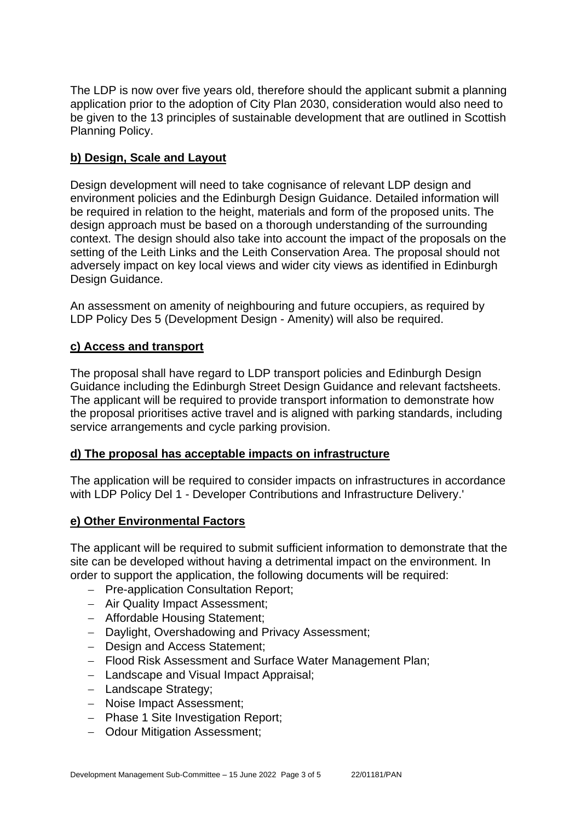The LDP is now over five years old, therefore should the applicant submit a planning application prior to the adoption of City Plan 2030, consideration would also need to be given to the 13 principles of sustainable development that are outlined in Scottish Planning Policy.

#### **b) Design, Scale and Layout**

Design development will need to take cognisance of relevant LDP design and environment policies and the Edinburgh Design Guidance. Detailed information will be required in relation to the height, materials and form of the proposed units. The design approach must be based on a thorough understanding of the surrounding context. The design should also take into account the impact of the proposals on the setting of the Leith Links and the Leith Conservation Area. The proposal should not adversely impact on key local views and wider city views as identified in Edinburgh Design Guidance.

An assessment on amenity of neighbouring and future occupiers, as required by LDP Policy Des 5 (Development Design - Amenity) will also be required.

#### **c) Access and transport**

The proposal shall have regard to LDP transport policies and Edinburgh Design Guidance including the Edinburgh Street Design Guidance and relevant factsheets. The applicant will be required to provide transport information to demonstrate how the proposal prioritises active travel and is aligned with parking standards, including service arrangements and cycle parking provision.

#### **d) The proposal has acceptable impacts on infrastructure**

The application will be required to consider impacts on infrastructures in accordance with LDP Policy Del 1 - Developer Contributions and Infrastructure Delivery.'

#### **e) Other Environmental Factors**

The applicant will be required to submit sufficient information to demonstrate that the site can be developed without having a detrimental impact on the environment. In order to support the application, the following documents will be required:

- − Pre-application Consultation Report;
- − Air Quality Impact Assessment;
- − Affordable Housing Statement;
- − Daylight, Overshadowing and Privacy Assessment;
- − Design and Access Statement;
- − Flood Risk Assessment and Surface Water Management Plan;
- − Landscape and Visual Impact Appraisal;
- − Landscape Strategy;
- − Noise Impact Assessment;
- − Phase 1 Site Investigation Report;
- − Odour Mitigation Assessment;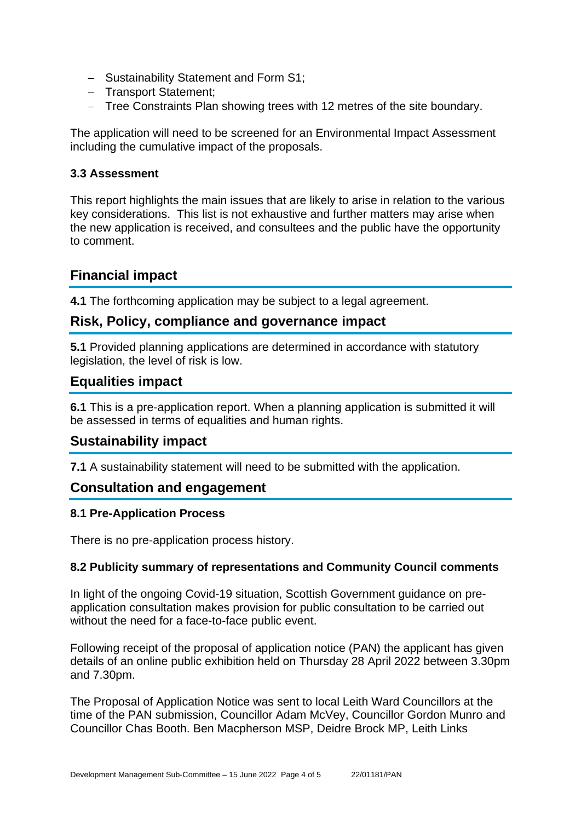- − Sustainability Statement and Form S1;
- − Transport Statement;
- − Tree Constraints Plan showing trees with 12 metres of the site boundary.

The application will need to be screened for an Environmental Impact Assessment including the cumulative impact of the proposals.

#### **3.3 Assessment**

This report highlights the main issues that are likely to arise in relation to the various key considerations. This list is not exhaustive and further matters may arise when the new application is received, and consultees and the public have the opportunity to comment.

## **Financial impact**

**4.1** The forthcoming application may be subject to a legal agreement.

## **Risk, Policy, compliance and governance impact**

**5.1** Provided planning applications are determined in accordance with statutory legislation, the level of risk is low.

## **Equalities impact**

**6.1** This is a pre-application report. When a planning application is submitted it will be assessed in terms of equalities and human rights.

## **Sustainability impact**

**7.1** A sustainability statement will need to be submitted with the application.

## **Consultation and engagement**

#### **8.1 Pre-Application Process**

There is no pre-application process history.

#### **8.2 Publicity summary of representations and Community Council comments**

In light of the ongoing Covid-19 situation, Scottish Government guidance on preapplication consultation makes provision for public consultation to be carried out without the need for a face-to-face public event.

Following receipt of the proposal of application notice (PAN) the applicant has given details of an online public exhibition held on Thursday 28 April 2022 between 3.30pm and 7.30pm.

The Proposal of Application Notice was sent to local Leith Ward Councillors at the time of the PAN submission, Councillor Adam McVey, Councillor Gordon Munro and Councillor Chas Booth. Ben Macpherson MSP, Deidre Brock MP, Leith Links